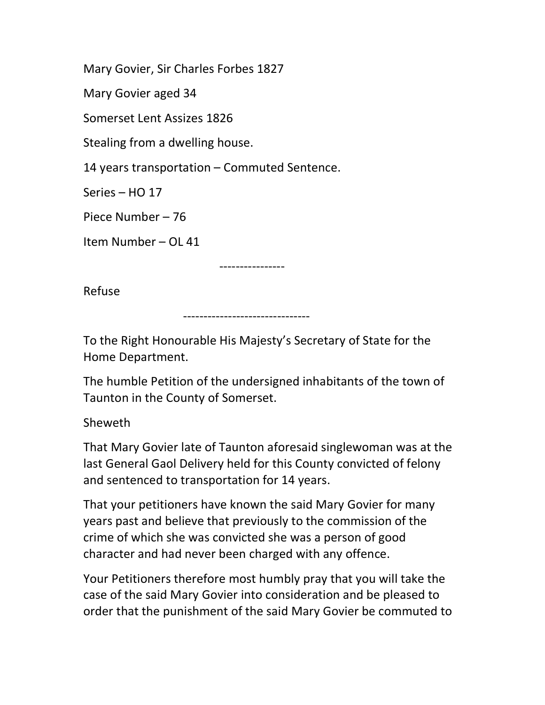Mary Govier, Sir Charles Forbes 1827

Mary Govier aged 34

Somerset Lent Assizes 1826

Stealing from a dwelling house.

14 years transportation – Commuted Sentence.

Series – HO 17

Piece Number – 76

Item Number – OL 41

----------------

Refuse

-------------------------------

To the Right Honourable His Majesty's Secretary of State for the Home Department.

The humble Petition of the undersigned inhabitants of the town of Taunton in the County of Somerset.

Sheweth

That Mary Govier late of Taunton aforesaid singlewoman was at the last General Gaol Delivery held for this County convicted of felony and sentenced to transportation for 14 years.

That your petitioners have known the said Mary Govier for many years past and believe that previously to the commission of the crime of which she was convicted she was a person of good character and had never been charged with any offence.

Your Petitioners therefore most humbly pray that you will take the case of the said Mary Govier into consideration and be pleased to order that the punishment of the said Mary Govier be commuted to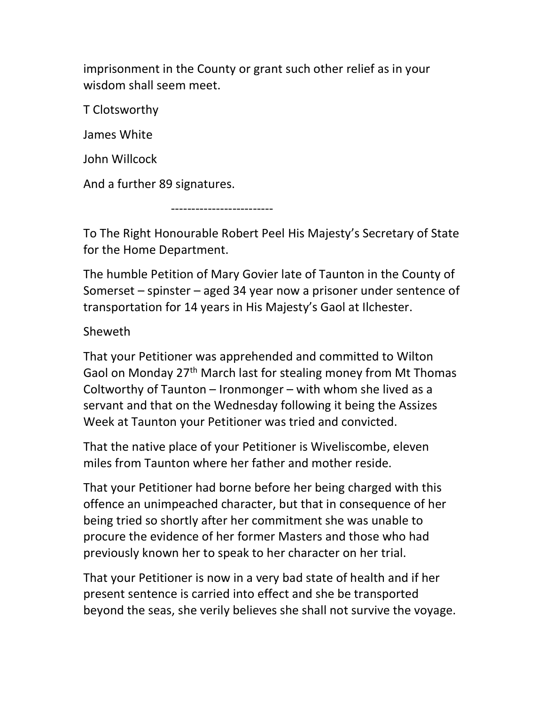imprisonment in the County or grant such other relief as in your wisdom shall seem meet.

T Clotsworthy

James White

John Willcock

And a further 89 signatures.

-------------------------

To The Right Honourable Robert Peel His Majesty's Secretary of State for the Home Department.

The humble Petition of Mary Govier late of Taunton in the County of Somerset – spinster – aged 34 year now a prisoner under sentence of transportation for 14 years in His Majesty's Gaol at Ilchester.

## Sheweth

That your Petitioner was apprehended and committed to Wilton Gaol on Monday 27<sup>th</sup> March last for stealing money from Mt Thomas Coltworthy of Taunton – Ironmonger – with whom she lived as a servant and that on the Wednesday following it being the Assizes Week at Taunton your Petitioner was tried and convicted.

That the native place of your Petitioner is Wiveliscombe, eleven miles from Taunton where her father and mother reside.

That your Petitioner had borne before her being charged with this offence an unimpeached character, but that in consequence of her being tried so shortly after her commitment she was unable to procure the evidence of her former Masters and those who had previously known her to speak to her character on her trial.

That your Petitioner is now in a very bad state of health and if her present sentence is carried into effect and she be transported beyond the seas, she verily believes she shall not survive the voyage.